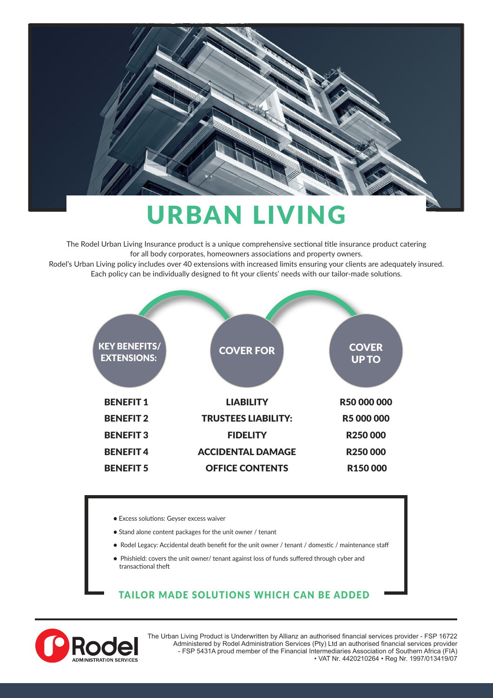

# URBAN LIVING

The Rodel Urban Living Insurance product is a unique comprehensive sectional title insurance product catering for all body corporates, homeowners associations and property owners. Rodel's Urban Living policy includes over 40 extensions with increased limits ensuring your clients are adequately insured. Each policy can be individually designed to fit your clients' needs with our tailor-made solutions.



- Excess solutions: Geyser excess waiver
- Stand alone content packages for the unit owner / tenant
- Rodel Legacy: Accidental death benefit for the unit owner / tenant / domestic / maintenance staff
- Phishield: covers the unit owner/ tenant against loss of funds suffered through cyber and transactional theft

#### TAILOR MADE SOLUTIONS WHICH CAN BE ADDED



The Urban Living Product is Underwritten by Allianz an authorised financial services provider - FSP 16722 Administered by Rodel Administration Services (Pty) Ltd an authorised financial services provider - FSP 5431A proud member of the Financial Intermediaries Association of Southern Africa (FIA) • VAT Nr. 4420210264 • Reg Nr. 1997/013419/07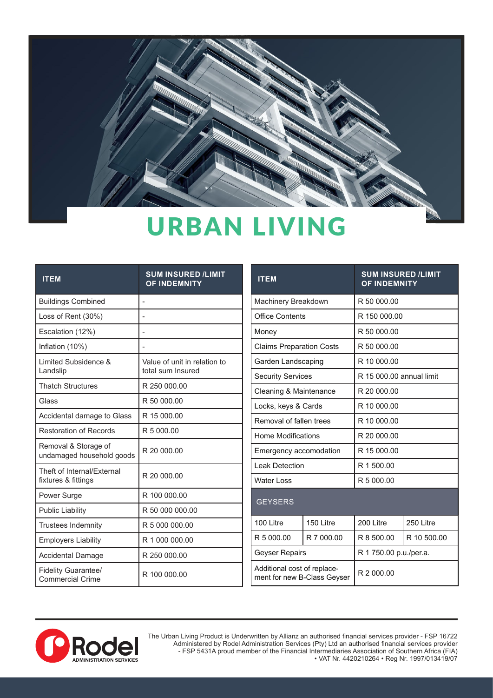

## URBAN LIVING

| <b>ITEM</b>                                           | <b>SUM INSURED /LIMIT</b><br><b>OF INDEMNITY</b>  |
|-------------------------------------------------------|---------------------------------------------------|
| <b>Buildings Combined</b>                             |                                                   |
| Loss of Rent (30%)                                    |                                                   |
| Escalation (12%)                                      |                                                   |
| Inflation (10%)                                       |                                                   |
| Limited Subsidence &<br>Landslip                      | Value of unit in relation to<br>total sum Insured |
| <b>Thatch Structures</b>                              | R 250 000.00                                      |
| Glass                                                 | R 50 000.00                                       |
| Accidental damage to Glass                            | R 15 000.00                                       |
| <b>Restoration of Records</b>                         | R 5 000.00                                        |
| Removal & Storage of<br>undamaged household goods     | R 20 000.00                                       |
| Theft of Internal/Fxternal<br>fixtures & fittings     | R 20 000.00                                       |
| Power Surge                                           | R 100 000.00                                      |
| <b>Public Liability</b>                               | R 50 000 000.00                                   |
| <b>Trustees Indemnity</b>                             | R 5 000 000.00                                    |
| <b>Employers Liability</b>                            | R 1 000 000.00                                    |
| Accidental Damage                                     | R 250 000.00                                      |
| <b>Fidelity Guarantee/</b><br><b>Commercial Crime</b> | R 100 000.00                                      |

| <b>ITEM</b>                                                |                       | <b>SUM INSURED /LIMIT</b><br><b>OF INDEMNITY</b> |                        |  |
|------------------------------------------------------------|-----------------------|--------------------------------------------------|------------------------|--|
| Machinery Breakdown                                        |                       | R 50 000.00                                      |                        |  |
| <b>Office Contents</b>                                     |                       | R 150 000.00                                     |                        |  |
| Money                                                      |                       | R 50 000.00                                      |                        |  |
| <b>Claims Preparation Costs</b>                            |                       | R 50 000.00                                      |                        |  |
| Garden Landscaping                                         |                       | R 10 000.00                                      |                        |  |
| <b>Security Services</b>                                   |                       | R 15 000.00 annual limit                         |                        |  |
| Cleaning & Maintenance                                     |                       | R 20 000.00                                      |                        |  |
| Locks, keys & Cards                                        |                       | R 10 000.00                                      |                        |  |
| Removal of fallen trees                                    |                       | R 10 000.00                                      |                        |  |
| <b>Home Modifications</b>                                  |                       | R 20 000.00                                      |                        |  |
| Emergency accomodation                                     |                       | R 15 000.00                                      |                        |  |
| <b>Leak Detection</b>                                      |                       | R 1 500.00                                       |                        |  |
| <b>Water Loss</b>                                          |                       | R 5 000.00                                       |                        |  |
| <b>GEYSERS</b>                                             |                       |                                                  |                        |  |
| 100 Litre                                                  | 150 Litre             | 200 Litre                                        | 250 Litre              |  |
| R 5 000.00                                                 | R 7 000.00            | R 8 500.00                                       | R 10 500.00            |  |
|                                                            | <b>Geyser Repairs</b> |                                                  | R 1 750.00 p.u./per.a. |  |
| Additional cost of replace-<br>ment for new B-Class Geyser |                       | R 2 000.00                                       |                        |  |



The Urban Living Product is Underwritten by Allianz an authorised financial services provider - FSP 16722 Administered by Rodel Administration Services (Pty) Ltd an authorised financial services provider - FSP 5431A proud member of the Financial Intermediaries Association of Southern Africa (FIA) • VAT Nr. 4420210264 • Reg Nr. 1997/013419/07